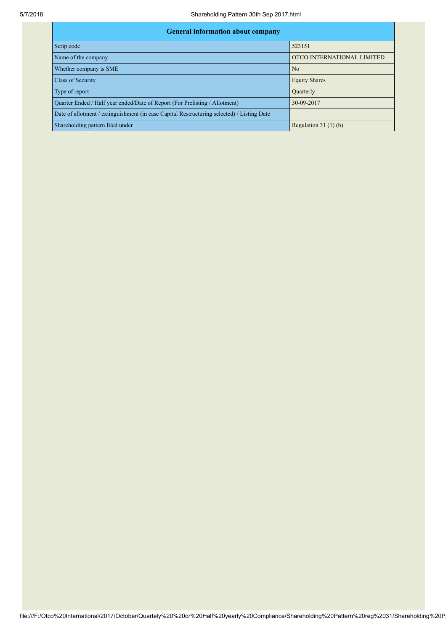| <b>General information about company</b>                                                   |                            |  |  |  |  |  |  |
|--------------------------------------------------------------------------------------------|----------------------------|--|--|--|--|--|--|
| Scrip code                                                                                 | 523151                     |  |  |  |  |  |  |
| Name of the company                                                                        | OTCO INTERNATIONAL LIMITED |  |  |  |  |  |  |
| Whether company is SME                                                                     | No                         |  |  |  |  |  |  |
| Class of Security                                                                          | <b>Equity Shares</b>       |  |  |  |  |  |  |
| Type of report                                                                             | Quarterly                  |  |  |  |  |  |  |
| Quarter Ended / Half year ended/Date of Report (For Prelisting / Allotment)                | 30-09-2017                 |  |  |  |  |  |  |
| Date of allotment / extinguishment (in case Capital Restructuring selected) / Listing Date |                            |  |  |  |  |  |  |
| Shareholding pattern filed under                                                           | Regulation $31(1)(b)$      |  |  |  |  |  |  |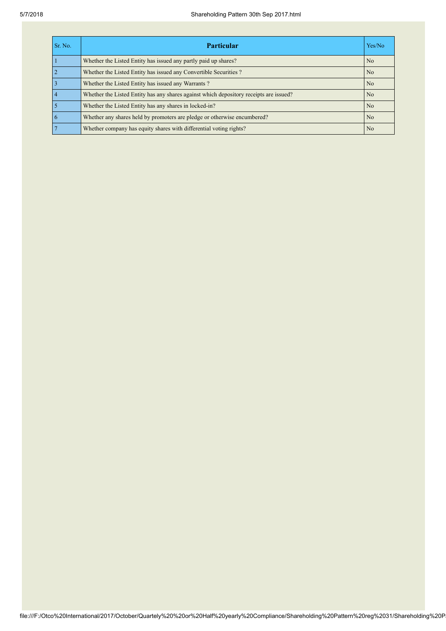| Sr. No. | <b>Particular</b>                                                                      | Yes/No         |
|---------|----------------------------------------------------------------------------------------|----------------|
|         | Whether the Listed Entity has issued any partly paid up shares?                        | No             |
|         | Whether the Listed Entity has issued any Convertible Securities?                       | N <sub>0</sub> |
|         | Whether the Listed Entity has issued any Warrants?                                     | N <sub>0</sub> |
|         | Whether the Listed Entity has any shares against which depository receipts are issued? | N <sub>0</sub> |
|         | Whether the Listed Entity has any shares in locked-in?                                 | N <sub>0</sub> |
|         | Whether any shares held by promoters are pledge or otherwise encumbered?               | N <sub>0</sub> |
|         | Whether company has equity shares with differential voting rights?                     | N <sub>0</sub> |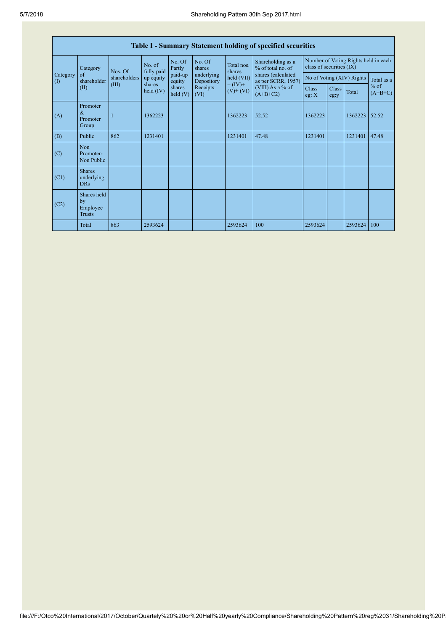| <b>Table I - Summary Statement holding of specified securities</b> |                                                |              |                       |                      |                          |                                                                    |                                                                                    |                                                                  |               |         |                     |
|--------------------------------------------------------------------|------------------------------------------------|--------------|-----------------------|----------------------|--------------------------|--------------------------------------------------------------------|------------------------------------------------------------------------------------|------------------------------------------------------------------|---------------|---------|---------------------|
| Category<br>(1)                                                    | Category                                       | Nos. Of      | No. of<br>fully paid  | No. Of<br>Partly     | No. Of<br>shares         | Total nos.<br>shares<br>held (VII)<br>$= (IV) +$<br>$(V)$ + $(VI)$ | Shareholding as a<br>% of total no. of<br>shares (calculated<br>as per SCRR, 1957) | Number of Voting Rights held in each<br>class of securities (IX) |               |         |                     |
|                                                                    | of<br>shareholder                              | shareholders | up equity             | paid-up<br>equity    | underlying<br>Depository |                                                                    |                                                                                    | No of Voting (XIV) Rights                                        |               |         | Total as a          |
|                                                                    | (II)                                           | (III)        | shares<br>held $(IV)$ | shares<br>held $(V)$ | Receipts<br>(VI)         |                                                                    | (VIII) As a % of<br>$(A+B+C2)$                                                     | <b>Class</b><br>eg: $X$                                          | Class<br>eg:y | Total   | $%$ of<br>$(A+B+C)$ |
| (A)                                                                | Promoter<br>$\&$<br>Promoter<br>Group          |              | 1362223               |                      |                          | 1362223                                                            | 52.52                                                                              | 1362223                                                          |               | 1362223 | 52.52               |
| (B)                                                                | Public                                         | 862          | 1231401               |                      |                          | 1231401                                                            | 47.48                                                                              | 1231401                                                          |               | 1231401 | 47.48               |
| (C)                                                                | Non<br>Promoter-<br>Non Public                 |              |                       |                      |                          |                                                                    |                                                                                    |                                                                  |               |         |                     |
| (C1)                                                               | <b>Shares</b><br>underlying<br><b>DRs</b>      |              |                       |                      |                          |                                                                    |                                                                                    |                                                                  |               |         |                     |
| (C2)                                                               | Shares held<br>by<br>Employee<br><b>Trusts</b> |              |                       |                      |                          |                                                                    |                                                                                    |                                                                  |               |         |                     |
|                                                                    | Total                                          | 863          | 2593624               |                      |                          | 2593624                                                            | 100                                                                                | 2593624                                                          |               | 2593624 | 100                 |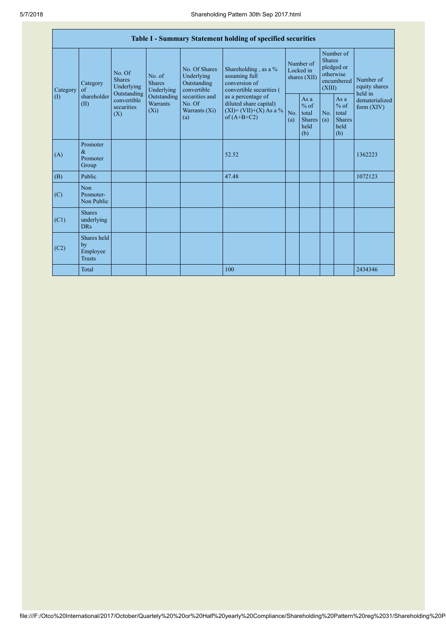| Table I - Summary Statement holding of specified securities |                                                |                                       |                                                                                                                                                                                                                                                                                                                                                                                                        |            |                                                         |                                        |                                                         |                                                                               |  |                                                                         |
|-------------------------------------------------------------|------------------------------------------------|---------------------------------------|--------------------------------------------------------------------------------------------------------------------------------------------------------------------------------------------------------------------------------------------------------------------------------------------------------------------------------------------------------------------------------------------------------|------------|---------------------------------------------------------|----------------------------------------|---------------------------------------------------------|-------------------------------------------------------------------------------|--|-------------------------------------------------------------------------|
| Category                                                    | Category<br>$\sigma$ f                         | No. Of<br><b>Shares</b><br>Underlying | No. Of Shares<br>Shareholding, as a %<br>Underlying<br>assuming full<br>No. of<br>conversion of<br><b>Shares</b><br>Outstanding<br>Underlying<br>convertible<br>convertible securities (<br>Outstanding<br>Outstanding<br>securities and<br>as a percentage of<br>diluted share capital)<br><b>Warrants</b><br>No. Of<br>$(XI) = (VII)+(X) As a %$<br>$(X_i)$<br>Warrants (Xi)<br>of $(A+B+C2)$<br>(a) |            |                                                         | Number of<br>Locked in<br>shares (XII) |                                                         | Number of<br><b>Shares</b><br>pledged or<br>otherwise<br>encumbered<br>(XIII) |  | Number of<br>equity shares<br>held in<br>dematerialized<br>form $(XIV)$ |
| $\left( \mathrm{I}\right)$                                  | shareholder<br>(II)                            | convertible<br>securities<br>(X)      |                                                                                                                                                                                                                                                                                                                                                                                                        | No.<br>(a) | As a<br>$%$ of<br>total<br><b>Shares</b><br>held<br>(b) | No.<br>(a)                             | As a<br>$%$ of<br>total<br><b>Shares</b><br>held<br>(b) |                                                                               |  |                                                                         |
| (A)                                                         | Promoter<br>$\&$<br>Promoter<br>Group          |                                       |                                                                                                                                                                                                                                                                                                                                                                                                        |            | 52.52                                                   |                                        |                                                         |                                                                               |  | 1362223                                                                 |
| (B)                                                         | Public                                         |                                       |                                                                                                                                                                                                                                                                                                                                                                                                        |            | 47.48                                                   |                                        |                                                         |                                                                               |  | 1072123                                                                 |
| (C)                                                         | Non<br>Promoter-<br>Non Public                 |                                       |                                                                                                                                                                                                                                                                                                                                                                                                        |            |                                                         |                                        |                                                         |                                                                               |  |                                                                         |
| (C1)                                                        | <b>Shares</b><br>underlying<br><b>DRs</b>      |                                       |                                                                                                                                                                                                                                                                                                                                                                                                        |            |                                                         |                                        |                                                         |                                                                               |  |                                                                         |
| (C2)                                                        | Shares held<br>by<br>Employee<br><b>Trusts</b> |                                       |                                                                                                                                                                                                                                                                                                                                                                                                        |            |                                                         |                                        |                                                         |                                                                               |  |                                                                         |
|                                                             | Total                                          |                                       |                                                                                                                                                                                                                                                                                                                                                                                                        |            | 100                                                     |                                        |                                                         |                                                                               |  | 2434346                                                                 |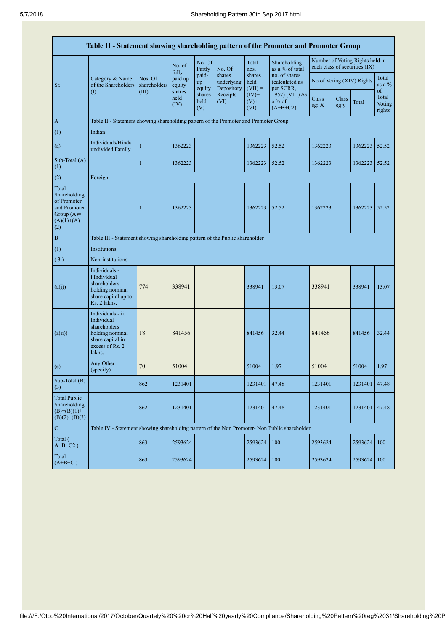| Table II - Statement showing shareholding pattern of the Promoter and Promoter Group        |                                                                                                                     |                         |                            |                       |                                    |                             |                                              |                |               |                                                                  |                                 |
|---------------------------------------------------------------------------------------------|---------------------------------------------------------------------------------------------------------------------|-------------------------|----------------------------|-----------------------|------------------------------------|-----------------------------|----------------------------------------------|----------------|---------------|------------------------------------------------------------------|---------------------------------|
|                                                                                             |                                                                                                                     |                         | No. of                     | No. Of<br>Partly      | No. Of                             | Total<br>nos.               | Shareholding<br>as a % of total              |                |               | Number of Voting Rights held in<br>each class of securities (IX) |                                 |
| Sr.                                                                                         | Category & Name<br>of the Shareholders                                                                              | Nos. Of<br>shareholders | fully<br>paid up<br>equity | paid-<br>up<br>equity | shares<br>underlying<br>Depository | shares<br>held<br>$(VII) =$ | no. of shares<br>(calculated as<br>per SCRR, |                |               | No of Voting (XIV) Rights                                        | Total<br>as a $%$               |
|                                                                                             | $\left( \Gamma \right)$                                                                                             | (III)                   | shares<br>held<br>(IV)     | shares<br>held<br>(V) | Receipts<br>(VI)                   | $(IV)$ +<br>$(V)$ +<br>(VI) | 1957) (VIII) As<br>a % of<br>$(A+B+C2)$      | Class<br>eg: X | Class<br>eg:y | Total                                                            | of<br>Total<br>Voting<br>rights |
| $\mathbf{A}$                                                                                | Table II - Statement showing shareholding pattern of the Promoter and Promoter Group                                |                         |                            |                       |                                    |                             |                                              |                |               |                                                                  |                                 |
| (1)                                                                                         | Indian                                                                                                              |                         |                            |                       |                                    |                             |                                              |                |               |                                                                  |                                 |
| (a)                                                                                         | Individuals/Hindu<br>undivided Family                                                                               | $\mathbf{1}$            | 1362223                    |                       |                                    | 1362223                     | 52.52                                        | 1362223        |               | 1362223                                                          | 52.52                           |
| Sub-Total (A)<br>(1)                                                                        |                                                                                                                     | $\mathbf{1}$            | 1362223                    |                       |                                    | 1362223                     | 52.52                                        | 1362223        |               | 1362223                                                          | 52.52                           |
| (2)                                                                                         | Foreign                                                                                                             |                         |                            |                       |                                    |                             |                                              |                |               |                                                                  |                                 |
| Total<br>Shareholding<br>of Promoter<br>and Promoter<br>Group $(A)=$<br>$(A)(1)+(A)$<br>(2) |                                                                                                                     | 1                       | 1362223                    |                       |                                    | 1362223                     | 52.52                                        | 1362223        |               | 1362223                                                          | 52.52                           |
| $\, {\bf B}$                                                                                | Table III - Statement showing shareholding pattern of the Public shareholder                                        |                         |                            |                       |                                    |                             |                                              |                |               |                                                                  |                                 |
| (1)                                                                                         | Institutions                                                                                                        |                         |                            |                       |                                    |                             |                                              |                |               |                                                                  |                                 |
| (3)                                                                                         | Non-institutions                                                                                                    |                         |                            |                       |                                    |                             |                                              |                |               |                                                                  |                                 |
| (a(i))                                                                                      | Individuals -<br>i.Individual<br>shareholders<br>holding nominal<br>share capital up to<br>Rs. 2 lakhs.             | 774                     | 338941                     |                       |                                    | 338941                      | 13.07                                        | 338941         |               | 338941                                                           | 13.07                           |
| (a(ii))                                                                                     | Individuals - ii.<br>Individual<br>shareholders<br>holding nominal<br>share capital in<br>excess of Rs. 2<br>lakhs. | 18                      | 841456                     |                       |                                    | 841456                      | 32.44                                        | 841456         |               | 841456                                                           | 32.44                           |
| (e)                                                                                         | Any Other<br>(specify)                                                                                              | 70                      | 51004                      |                       |                                    | 51004                       | 1.97                                         | 51004          |               | 51004                                                            | 1.97                            |
| Sub-Total (B)<br>(3)                                                                        |                                                                                                                     | 862                     | 1231401                    |                       |                                    | 1231401                     | 47.48                                        | 1231401        |               | 1231401                                                          | 47.48                           |
| <b>Total Public</b><br>Shareholding<br>$(B)=(B)(1)+$<br>$(B)(2)+(B)(3)$                     |                                                                                                                     | 862                     | 1231401                    |                       |                                    | 1231401                     | 47.48                                        | 1231401        |               | 1231401                                                          | 47.48                           |
| $\mathbf C$                                                                                 | Table IV - Statement showing shareholding pattern of the Non Promoter- Non Public shareholder                       |                         |                            |                       |                                    |                             |                                              |                |               |                                                                  |                                 |
| Total (<br>$A+B+C2$ )                                                                       |                                                                                                                     | 863                     | 2593624                    |                       |                                    | 2593624                     | 100                                          | 2593624        |               | 2593624                                                          | 100                             |
| Total<br>$(A+B+C)$                                                                          |                                                                                                                     | 863                     | 2593624                    |                       |                                    | 2593624                     | 100                                          | 2593624        |               | 2593624                                                          | 100                             |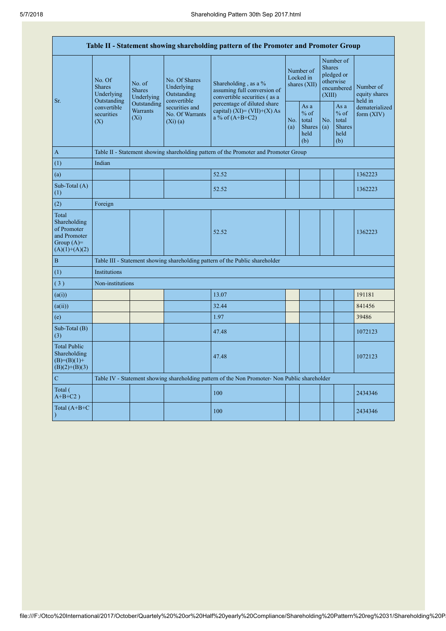| Table II - Statement showing shareholding pattern of the Promoter and Promoter Group    |                                                 |                                           |                                                                |                                                                                               |  |                                                         |                                                                               |                                                         |                                                                         |  |
|-----------------------------------------------------------------------------------------|-------------------------------------------------|-------------------------------------------|----------------------------------------------------------------|-----------------------------------------------------------------------------------------------|--|---------------------------------------------------------|-------------------------------------------------------------------------------|---------------------------------------------------------|-------------------------------------------------------------------------|--|
| Sr.                                                                                     | No. Of<br><b>Shares</b><br>Underlying           | No. of<br><b>Shares</b><br>Underlying     | No. Of Shares<br>Underlying<br>Outstanding                     | Shareholding, as a %<br>assuming full conversion of<br>convertible securities (as a           |  | Number of<br>Locked in<br>shares (XII)                  | Number of<br><b>Shares</b><br>pledged or<br>otherwise<br>encumbered<br>(XIII) |                                                         | Number of<br>equity shares<br>held in<br>dematerialized<br>form $(XIV)$ |  |
|                                                                                         | Outstanding<br>convertible<br>securities<br>(X) | Outstanding<br><b>Warrants</b><br>$(X_i)$ | convertible<br>securities and<br>No. Of Warrants<br>$(Xi)$ (a) | percentage of diluted share<br>capital) $(XI) = (VII)+(X) As$<br>a % of $(A+B+C2)$            |  | As a<br>$%$ of<br>total<br><b>Shares</b><br>held<br>(b) | No.<br>(a)                                                                    | As a<br>$%$ of<br>total<br><b>Shares</b><br>held<br>(b) |                                                                         |  |
| $\mathbf{A}$                                                                            |                                                 |                                           |                                                                | Table II - Statement showing shareholding pattern of the Promoter and Promoter Group          |  |                                                         |                                                                               |                                                         |                                                                         |  |
| (1)                                                                                     | Indian                                          |                                           |                                                                |                                                                                               |  |                                                         |                                                                               |                                                         |                                                                         |  |
| (a)                                                                                     |                                                 |                                           |                                                                | 52.52                                                                                         |  |                                                         |                                                                               |                                                         | 1362223                                                                 |  |
| Sub-Total (A)<br>(1)                                                                    |                                                 |                                           |                                                                | 52.52                                                                                         |  |                                                         |                                                                               |                                                         | 1362223                                                                 |  |
| (2)                                                                                     | Foreign                                         |                                           |                                                                |                                                                                               |  |                                                         |                                                                               |                                                         |                                                                         |  |
| Total<br>Shareholding<br>of Promoter<br>and Promoter<br>Group $(A)=$<br>$(A)(1)+(A)(2)$ |                                                 |                                           |                                                                | 52.52                                                                                         |  |                                                         |                                                                               |                                                         | 1362223                                                                 |  |
| $\overline{B}$                                                                          |                                                 |                                           |                                                                | Table III - Statement showing shareholding pattern of the Public shareholder                  |  |                                                         |                                                                               |                                                         |                                                                         |  |
| (1)                                                                                     | Institutions                                    |                                           |                                                                |                                                                                               |  |                                                         |                                                                               |                                                         |                                                                         |  |
| (3)                                                                                     | Non-institutions                                |                                           |                                                                |                                                                                               |  |                                                         |                                                                               |                                                         |                                                                         |  |
| (a(i))                                                                                  |                                                 |                                           |                                                                | 13.07                                                                                         |  |                                                         |                                                                               |                                                         | 191181                                                                  |  |
| (a(ii))                                                                                 |                                                 |                                           |                                                                | 32.44                                                                                         |  |                                                         |                                                                               |                                                         | 841456                                                                  |  |
| (e)                                                                                     |                                                 |                                           |                                                                | 1.97                                                                                          |  |                                                         |                                                                               |                                                         | 39486                                                                   |  |
| Sub-Total (B)<br>(3)                                                                    |                                                 |                                           |                                                                | 47.48                                                                                         |  |                                                         |                                                                               |                                                         | 1072123                                                                 |  |
| <b>Total Public</b><br>Shareholding<br>$(B)= (B)(1) +$<br>$(B)(2)+(B)(3)$               |                                                 |                                           |                                                                | 47.48                                                                                         |  |                                                         |                                                                               |                                                         | 1072123                                                                 |  |
| $\mathcal{C}$                                                                           |                                                 |                                           |                                                                | Table IV - Statement showing shareholding pattern of the Non Promoter- Non Public shareholder |  |                                                         |                                                                               |                                                         |                                                                         |  |
| Total (<br>$A+B+C2$ )                                                                   |                                                 |                                           |                                                                | 100                                                                                           |  |                                                         |                                                                               |                                                         | 2434346                                                                 |  |
| Total $(A+B+C)$<br>$\mathcal{E}$                                                        |                                                 |                                           |                                                                | 100                                                                                           |  |                                                         |                                                                               |                                                         | 2434346                                                                 |  |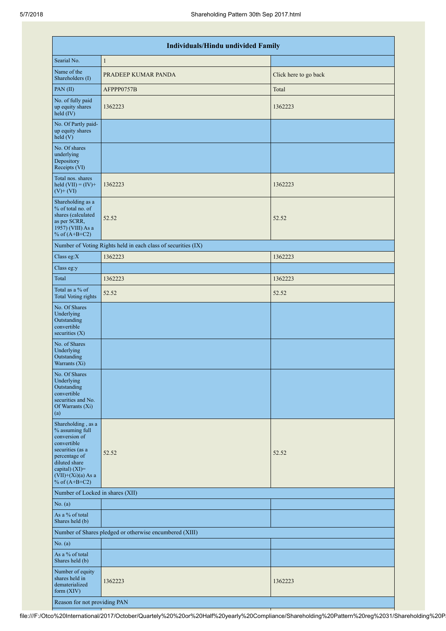|                                                                                                                                                                                          | Individuals/Hindu undivided Family                            |                       |  |  |  |  |  |  |  |  |
|------------------------------------------------------------------------------------------------------------------------------------------------------------------------------------------|---------------------------------------------------------------|-----------------------|--|--|--|--|--|--|--|--|
| Searial No.                                                                                                                                                                              | $\mathbf{1}$                                                  |                       |  |  |  |  |  |  |  |  |
| Name of the<br>Shareholders (I)                                                                                                                                                          | PRADEEP KUMAR PANDA                                           | Click here to go back |  |  |  |  |  |  |  |  |
| PAN(II)                                                                                                                                                                                  | AFPPP0757B                                                    | Total                 |  |  |  |  |  |  |  |  |
| No. of fully paid<br>up equity shares<br>held (IV)                                                                                                                                       | 1362223                                                       | 1362223               |  |  |  |  |  |  |  |  |
| No. Of Partly paid-<br>up equity shares<br>held(V)                                                                                                                                       |                                                               |                       |  |  |  |  |  |  |  |  |
| No. Of shares<br>underlying<br>Depository<br>Receipts (VI)                                                                                                                               |                                                               |                       |  |  |  |  |  |  |  |  |
| Total nos. shares<br>held $(VII) = (IV) +$<br>$(V)$ + $(VI)$                                                                                                                             | 1362223                                                       | 1362223               |  |  |  |  |  |  |  |  |
| Shareholding as a<br>% of total no. of<br>shares (calculated<br>as per SCRR,<br>1957) (VIII) As a<br>% of $(A+B+C2)$                                                                     | 52.52                                                         | 52.52                 |  |  |  |  |  |  |  |  |
|                                                                                                                                                                                          | Number of Voting Rights held in each class of securities (IX) |                       |  |  |  |  |  |  |  |  |
| Class eg:X                                                                                                                                                                               | 1362223                                                       | 1362223               |  |  |  |  |  |  |  |  |
| Class eg:y                                                                                                                                                                               |                                                               |                       |  |  |  |  |  |  |  |  |
| Total                                                                                                                                                                                    | 1362223                                                       | 1362223               |  |  |  |  |  |  |  |  |
| Total as a % of<br><b>Total Voting rights</b>                                                                                                                                            | 52.52                                                         | 52.52                 |  |  |  |  |  |  |  |  |
| No. Of Shares<br>Underlying<br>Outstanding<br>convertible<br>securities (X)                                                                                                              |                                                               |                       |  |  |  |  |  |  |  |  |
| No. of Shares<br>Underlying<br>Outstanding<br>Warrants (Xi)                                                                                                                              |                                                               |                       |  |  |  |  |  |  |  |  |
| No. Of Shares<br>Underlying<br>Outstanding<br>convertible<br>securities and No.<br>Of Warrants (Xi)<br>(a)                                                                               |                                                               |                       |  |  |  |  |  |  |  |  |
| Shareholding, as a<br>% assuming full<br>conversion of<br>convertible<br>securities (as a<br>percentage of<br>diluted share<br>capital) (XI)=<br>$(VII)+(Xi)(a)$ As a<br>% of $(A+B+C2)$ | 52.52                                                         | 52.52                 |  |  |  |  |  |  |  |  |
| Number of Locked in shares (XII)                                                                                                                                                         |                                                               |                       |  |  |  |  |  |  |  |  |
| No. (a)                                                                                                                                                                                  |                                                               |                       |  |  |  |  |  |  |  |  |
| As a % of total<br>Shares held (b)                                                                                                                                                       |                                                               |                       |  |  |  |  |  |  |  |  |
|                                                                                                                                                                                          | Number of Shares pledged or otherwise encumbered (XIII)       |                       |  |  |  |  |  |  |  |  |
| No. (a)                                                                                                                                                                                  |                                                               |                       |  |  |  |  |  |  |  |  |
| As a % of total<br>Shares held (b)                                                                                                                                                       |                                                               |                       |  |  |  |  |  |  |  |  |
| Number of equity<br>shares held in<br>dematerialized<br>form $(XIV)$                                                                                                                     | 1362223                                                       | 1362223               |  |  |  |  |  |  |  |  |
| Reason for not providing PAN                                                                                                                                                             |                                                               |                       |  |  |  |  |  |  |  |  |

file:///F:/Otco%20International/2017/October/Quartely%20%20or%20Half%20yearly%20Compliance/Shareholding%20Pattern%20reg%2031/Shareholding%20Pa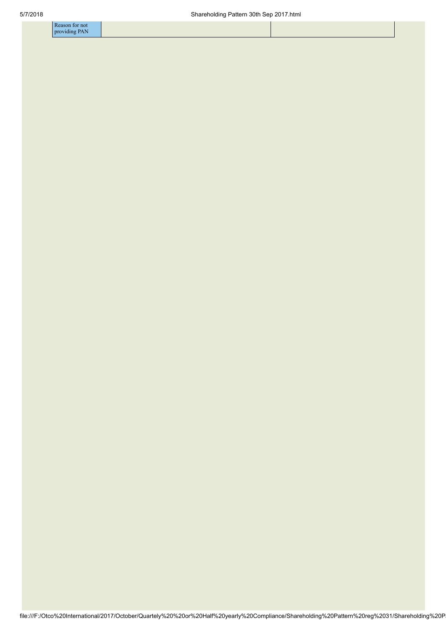| -к<br>$-0.000$<br>on for not |
|------------------------------|
|                              |
| , FAIN<br>$\cdots$           |
|                              |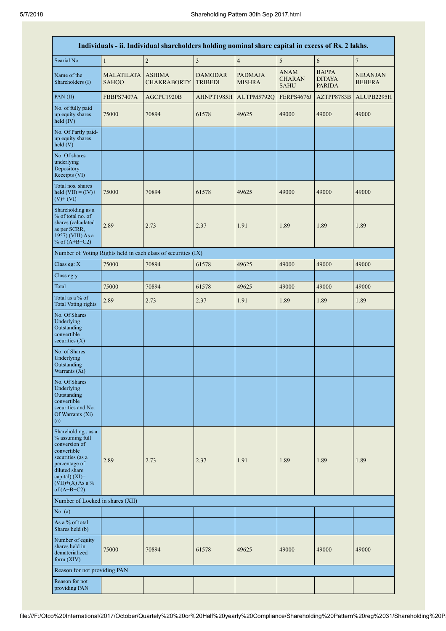|                                                                                                                                                                                         |                                   | Individuals - ii. Individual shareholders holding nominal share capital in excess of Rs. 2 lakhs. |                                  |                                 |                                             |                                                |                                  |
|-----------------------------------------------------------------------------------------------------------------------------------------------------------------------------------------|-----------------------------------|---------------------------------------------------------------------------------------------------|----------------------------------|---------------------------------|---------------------------------------------|------------------------------------------------|----------------------------------|
| Searial No.                                                                                                                                                                             | $\mathbf{1}$                      | $\overline{c}$                                                                                    | $\overline{\mathbf{3}}$          | $\sqrt{4}$                      | 5                                           | $\sqrt{6}$                                     | $\sqrt{ }$                       |
| Name of the<br>Shareholders (I)                                                                                                                                                         | <b>MALATILATA</b><br><b>SAHOO</b> | <b>ASHIMA</b><br><b>CHAKRABORTY</b>                                                               | <b>DAMODAR</b><br><b>TRIBEDI</b> | <b>PADMAJA</b><br><b>MISHRA</b> | <b>ANAM</b><br><b>CHARAN</b><br><b>SAHU</b> | <b>BAPPA</b><br><b>DITAYA</b><br><b>PARIDA</b> | <b>NIRANJAN</b><br><b>BEHERA</b> |
| PAN(II)                                                                                                                                                                                 | FBBPS7407A                        | AGCPC1920B                                                                                        | AHNPT1985H                       | AUTPM5792Q                      | FERPS4676J                                  | AZTPP8783B                                     | ALUPB2295H                       |
| No. of fully paid<br>up equity shares<br>held $(IV)$                                                                                                                                    | 75000                             | 70894                                                                                             | 61578                            | 49625                           | 49000                                       | 49000                                          | 49000                            |
| No. Of Partly paid-<br>up equity shares<br>held(V)                                                                                                                                      |                                   |                                                                                                   |                                  |                                 |                                             |                                                |                                  |
| No. Of shares<br>underlying<br>Depository<br>Receipts (VI)                                                                                                                              |                                   |                                                                                                   |                                  |                                 |                                             |                                                |                                  |
| Total nos. shares<br>held $(VII) = (IV) +$<br>$(V)+(VI)$                                                                                                                                | 75000                             | 70894                                                                                             | 61578                            | 49625                           | 49000                                       | 49000                                          | 49000                            |
| Shareholding as a<br>% of total no. of<br>shares (calculated<br>as per SCRR,<br>1957) (VIII) As a<br>% of $(A+B+C2)$                                                                    | 2.89                              | 2.73                                                                                              | 2.37                             | 1.91                            | 1.89                                        | 1.89                                           | 1.89                             |
|                                                                                                                                                                                         |                                   | Number of Voting Rights held in each class of securities (IX)                                     |                                  |                                 |                                             |                                                |                                  |
| Class eg: X                                                                                                                                                                             | 75000                             | 70894                                                                                             | 61578                            | 49625                           | 49000                                       | 49000                                          | 49000                            |
| Class eg:y                                                                                                                                                                              |                                   |                                                                                                   |                                  |                                 |                                             |                                                |                                  |
| Total                                                                                                                                                                                   | 75000                             | 70894                                                                                             | 61578                            | 49625                           | 49000                                       | 49000                                          | 49000                            |
| Total as a % of<br><b>Total Voting rights</b>                                                                                                                                           | 2.89                              | 2.73                                                                                              | 2.37                             | 1.91                            | 1.89                                        | 1.89                                           | 1.89                             |
| No. Of Shares<br>Underlying<br>Outstanding<br>convertible<br>securities $(X)$                                                                                                           |                                   |                                                                                                   |                                  |                                 |                                             |                                                |                                  |
| No. of Shares<br>Underlying<br>Outstanding<br>Warrants (Xi)                                                                                                                             |                                   |                                                                                                   |                                  |                                 |                                             |                                                |                                  |
| No. Of Shares<br>Underlying<br>Outstanding<br>convertible<br>securities and No.<br>Of Warrants (Xi)<br>(a)                                                                              |                                   |                                                                                                   |                                  |                                 |                                             |                                                |                                  |
| Shareholding, as a<br>% assuming full<br>conversion of<br>convertible<br>securities (as a<br>percentage of<br>diluted share<br>capital) $(XI)$ =<br>$(VII)+(X)$ As a %<br>of $(A+B+C2)$ | 2.89                              | 2.73                                                                                              | 2.37                             | 1.91                            | 1.89                                        | 1.89                                           | 1.89                             |
| Number of Locked in shares (XII)                                                                                                                                                        |                                   |                                                                                                   |                                  |                                 |                                             |                                                |                                  |
| No. (a)                                                                                                                                                                                 |                                   |                                                                                                   |                                  |                                 |                                             |                                                |                                  |
| As a % of total<br>Shares held (b)                                                                                                                                                      |                                   |                                                                                                   |                                  |                                 |                                             |                                                |                                  |
| Number of equity<br>shares held in<br>dematerialized<br>form $(XIV)$                                                                                                                    | 75000                             | 70894                                                                                             | 61578                            | 49625                           | 49000                                       | 49000                                          | 49000                            |
| Reason for not providing PAN                                                                                                                                                            |                                   |                                                                                                   |                                  |                                 |                                             |                                                |                                  |
| Reason for not<br>providing PAN                                                                                                                                                         |                                   |                                                                                                   |                                  |                                 |                                             |                                                |                                  |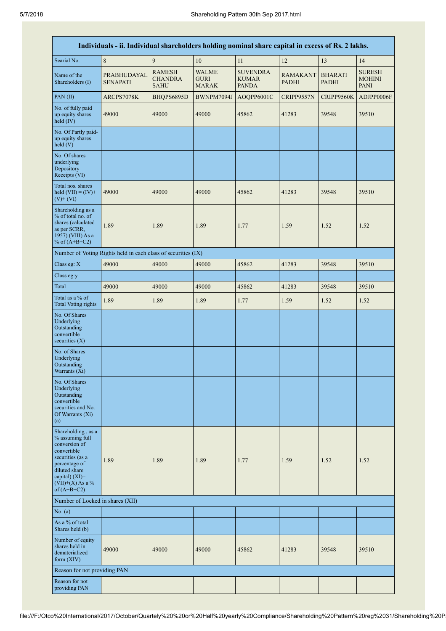|                                                                                                                                                                                         | Individuals - ii. Individual shareholders holding nominal share capital in excess of Rs. 2 lakhs. |                                                |                                             |                                                 |                          |                                |                                               |
|-----------------------------------------------------------------------------------------------------------------------------------------------------------------------------------------|---------------------------------------------------------------------------------------------------|------------------------------------------------|---------------------------------------------|-------------------------------------------------|--------------------------|--------------------------------|-----------------------------------------------|
| Searial No.                                                                                                                                                                             | $\,8\,$                                                                                           | 9                                              | 10                                          | 11                                              | 12                       | 13                             | 14                                            |
| Name of the<br>Shareholders (I)                                                                                                                                                         | PRABHUDAYAL<br><b>SENAPATI</b>                                                                    | <b>RAMESH</b><br><b>CHANDRA</b><br><b>SAHU</b> | <b>WALME</b><br><b>GURI</b><br><b>MARAK</b> | <b>SUVENDRA</b><br><b>KUMAR</b><br><b>PANDA</b> | RAMAKANT<br><b>PADHI</b> | <b>BHARATI</b><br><b>PADHI</b> | <b>SURESH</b><br><b>MOHINI</b><br><b>PANI</b> |
| PAN(II)                                                                                                                                                                                 | ARCPS7078K                                                                                        | BHQPS6895D                                     | BWNPM7094J                                  | AOQPP6001C                                      | CRIPP9557N               | CRIPP9560K                     | ADJPP0006F                                    |
| No. of fully paid<br>up equity shares<br>held (IV)                                                                                                                                      | 49000                                                                                             | 49000                                          | 49000                                       | 45862                                           | 41283                    | 39548                          | 39510                                         |
| No. Of Partly paid-<br>up equity shares<br>held(V)                                                                                                                                      |                                                                                                   |                                                |                                             |                                                 |                          |                                |                                               |
| No. Of shares<br>underlying<br>Depository<br>Receipts (VI)                                                                                                                              |                                                                                                   |                                                |                                             |                                                 |                          |                                |                                               |
| Total nos. shares<br>held $(VII) = (IV) +$<br>$(V)$ + $(VI)$                                                                                                                            | 49000                                                                                             | 49000                                          | 49000                                       | 45862                                           | 41283                    | 39548                          | 39510                                         |
| Shareholding as a<br>% of total no. of<br>shares (calculated<br>as per SCRR,<br>1957) (VIII) As a<br>% of $(A+B+C2)$                                                                    | 1.89                                                                                              | 1.89                                           | 1.89                                        | 1.77                                            | 1.59                     | 1.52                           | 1.52                                          |
|                                                                                                                                                                                         | Number of Voting Rights held in each class of securities (IX)                                     |                                                |                                             |                                                 |                          |                                |                                               |
| Class eg: X                                                                                                                                                                             | 49000                                                                                             | 49000                                          | 49000                                       | 45862                                           | 41283                    | 39548                          | 39510                                         |
| Class eg:y                                                                                                                                                                              |                                                                                                   |                                                |                                             |                                                 |                          |                                |                                               |
| Total                                                                                                                                                                                   | 49000                                                                                             | 49000                                          | 49000                                       | 45862                                           | 41283                    | 39548                          | 39510                                         |
| Total as a % of<br><b>Total Voting rights</b>                                                                                                                                           | 1.89                                                                                              | 1.89                                           | 1.89                                        | 1.77                                            | 1.59                     | 1.52                           | 1.52                                          |
| No. Of Shares<br>Underlying<br>Outstanding<br>convertible<br>securities $(X)$                                                                                                           |                                                                                                   |                                                |                                             |                                                 |                          |                                |                                               |
| No. of Shares<br>Underlying<br>Outstanding<br>Warrants (Xi)                                                                                                                             |                                                                                                   |                                                |                                             |                                                 |                          |                                |                                               |
| No. Of Shares<br>Underlying<br>Outstanding<br>convertible<br>securities and No.<br>Of Warrants (Xi)<br>(a)                                                                              |                                                                                                   |                                                |                                             |                                                 |                          |                                |                                               |
| Shareholding, as a<br>% assuming full<br>conversion of<br>convertible<br>securities (as a<br>percentage of<br>diluted share<br>capital) $(XI)$ =<br>$(VII)+(X)$ As a %<br>of $(A+B+C2)$ | 1.89                                                                                              | 1.89                                           | 1.89                                        | 1.77                                            | 1.59                     | 1.52                           | 1.52                                          |
| Number of Locked in shares (XII)                                                                                                                                                        |                                                                                                   |                                                |                                             |                                                 |                          |                                |                                               |
| No. (a)                                                                                                                                                                                 |                                                                                                   |                                                |                                             |                                                 |                          |                                |                                               |
| As a % of total<br>Shares held (b)                                                                                                                                                      |                                                                                                   |                                                |                                             |                                                 |                          |                                |                                               |
| Number of equity<br>shares held in<br>dematerialized<br>form $(XIV)$                                                                                                                    | 49000                                                                                             | 49000                                          | 49000                                       | 45862                                           | 41283                    | 39548                          | 39510                                         |
| Reason for not providing PAN                                                                                                                                                            |                                                                                                   |                                                |                                             |                                                 |                          |                                |                                               |
| Reason for not<br>providing PAN                                                                                                                                                         |                                                                                                   |                                                |                                             |                                                 |                          |                                |                                               |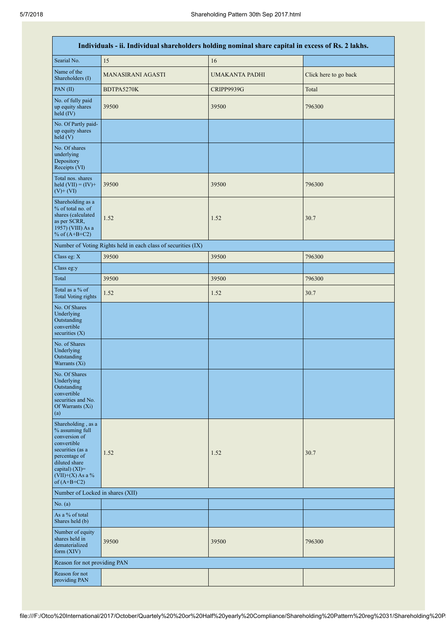|                                                                                                                                                                                         | Individuals - ii. Individual shareholders holding nominal share capital in excess of Rs. 2 lakhs. |                       |                       |  |  |  |  |  |  |  |
|-----------------------------------------------------------------------------------------------------------------------------------------------------------------------------------------|---------------------------------------------------------------------------------------------------|-----------------------|-----------------------|--|--|--|--|--|--|--|
| Searial No.                                                                                                                                                                             | 15                                                                                                | 16                    |                       |  |  |  |  |  |  |  |
| Name of the<br>Shareholders (I)                                                                                                                                                         | MANASIRANI AGASTI                                                                                 | <b>UMAKANTA PADHI</b> | Click here to go back |  |  |  |  |  |  |  |
| PAN(II)                                                                                                                                                                                 | BDTPA5270K                                                                                        | CRIPP9939G            | Total                 |  |  |  |  |  |  |  |
| No. of fully paid<br>up equity shares<br>held $(IV)$                                                                                                                                    | 39500                                                                                             | 39500                 | 796300                |  |  |  |  |  |  |  |
| No. Of Partly paid-<br>up equity shares<br>held(V)                                                                                                                                      |                                                                                                   |                       |                       |  |  |  |  |  |  |  |
| No. Of shares<br>underlying<br>Depository<br>Receipts (VI)                                                                                                                              |                                                                                                   |                       |                       |  |  |  |  |  |  |  |
| Total nos. shares<br>held $(VII) = (IV) +$<br>$(V)$ + $(VI)$                                                                                                                            | 39500                                                                                             | 39500                 | 796300                |  |  |  |  |  |  |  |
| Shareholding as a<br>% of total no. of<br>shares (calculated<br>as per SCRR,<br>1957) (VIII) As a<br>% of $(A+B+C2)$                                                                    | 1.52                                                                                              | 1.52                  | 30.7                  |  |  |  |  |  |  |  |
|                                                                                                                                                                                         | Number of Voting Rights held in each class of securities (IX)                                     |                       |                       |  |  |  |  |  |  |  |
| Class eg: X                                                                                                                                                                             | 39500                                                                                             | 39500                 | 796300                |  |  |  |  |  |  |  |
| Class eg:y                                                                                                                                                                              |                                                                                                   |                       |                       |  |  |  |  |  |  |  |
| Total                                                                                                                                                                                   | 39500                                                                                             | 39500                 | 796300                |  |  |  |  |  |  |  |
| Total as a % of<br><b>Total Voting rights</b>                                                                                                                                           | 1.52                                                                                              | 1.52                  | 30.7                  |  |  |  |  |  |  |  |
| No. Of Shares<br>Underlying<br>Outstanding<br>convertible<br>securities $(X)$                                                                                                           |                                                                                                   |                       |                       |  |  |  |  |  |  |  |
| No. of Shares<br>Underlying<br>Outstanding<br>Warrants (Xi)                                                                                                                             |                                                                                                   |                       |                       |  |  |  |  |  |  |  |
| No. Of Shares<br>Underlying<br>Outstanding<br>convertible<br>securities and No.<br>Of Warrants (Xi)<br>(a)                                                                              |                                                                                                   |                       |                       |  |  |  |  |  |  |  |
| Shareholding, as a<br>% assuming full<br>conversion of<br>convertible<br>securities (as a<br>percentage of<br>diluted share<br>capital) $(XI)$ =<br>$(VII)+(X)$ As a %<br>of $(A+B+C2)$ | 1.52                                                                                              | 1.52                  | 30.7                  |  |  |  |  |  |  |  |
| Number of Locked in shares (XII)                                                                                                                                                        |                                                                                                   |                       |                       |  |  |  |  |  |  |  |
| No. (a)                                                                                                                                                                                 |                                                                                                   |                       |                       |  |  |  |  |  |  |  |
| As a % of total<br>Shares held (b)                                                                                                                                                      |                                                                                                   |                       |                       |  |  |  |  |  |  |  |
| Number of equity<br>shares held in<br>dematerialized<br>form $(XIV)$                                                                                                                    | 39500                                                                                             | 39500                 | 796300                |  |  |  |  |  |  |  |
| Reason for not providing PAN                                                                                                                                                            |                                                                                                   |                       |                       |  |  |  |  |  |  |  |
| Reason for not<br>providing PAN                                                                                                                                                         |                                                                                                   |                       |                       |  |  |  |  |  |  |  |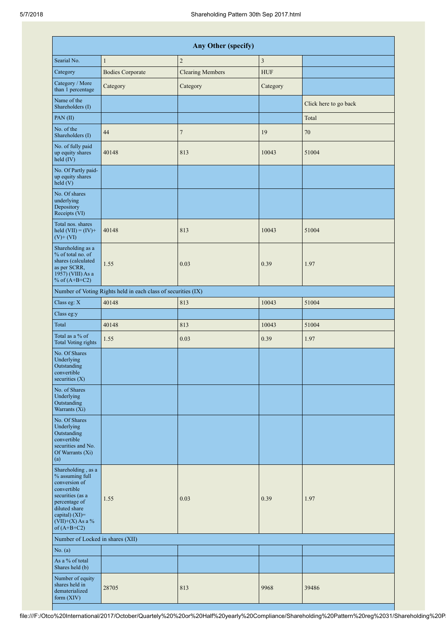|                                                                                                                                                                                      | Any Other (specify)                                           |                         |                |                       |  |  |  |  |  |  |
|--------------------------------------------------------------------------------------------------------------------------------------------------------------------------------------|---------------------------------------------------------------|-------------------------|----------------|-----------------------|--|--|--|--|--|--|
| Searial No.                                                                                                                                                                          | $\mathbf{1}$                                                  | $\sqrt{2}$              | $\overline{3}$ |                       |  |  |  |  |  |  |
| Category                                                                                                                                                                             | <b>Bodies Corporate</b>                                       | <b>Clearing Members</b> | <b>HUF</b>     |                       |  |  |  |  |  |  |
| Category / More<br>than 1 percentage                                                                                                                                                 | Category                                                      | Category                | Category       |                       |  |  |  |  |  |  |
| Name of the<br>Shareholders (I)                                                                                                                                                      |                                                               |                         |                | Click here to go back |  |  |  |  |  |  |
| PAN(II)                                                                                                                                                                              |                                                               |                         |                | Total                 |  |  |  |  |  |  |
| No. of the<br>Shareholders (I)                                                                                                                                                       | 44                                                            | $\boldsymbol{7}$        | 19             | $70\,$                |  |  |  |  |  |  |
| No. of fully paid<br>up equity shares<br>held (IV)                                                                                                                                   | 40148                                                         | 813                     | 10043          | 51004                 |  |  |  |  |  |  |
| No. Of Partly paid-<br>up equity shares<br>held(V)                                                                                                                                   |                                                               |                         |                |                       |  |  |  |  |  |  |
| No. Of shares<br>underlying<br>Depository<br>Receipts (VI)                                                                                                                           |                                                               |                         |                |                       |  |  |  |  |  |  |
| Total nos. shares<br>held $(VII) = (IV) +$<br>$(V)$ + $(VI)$                                                                                                                         | 40148                                                         | 813                     | 10043          | 51004                 |  |  |  |  |  |  |
| Shareholding as a<br>% of total no. of<br>shares (calculated<br>as per SCRR,<br>1957) (VIII) As a<br>% of $(A+B+C2)$                                                                 | 1.55                                                          | 0.03                    | 0.39           | 1.97                  |  |  |  |  |  |  |
|                                                                                                                                                                                      | Number of Voting Rights held in each class of securities (IX) |                         |                |                       |  |  |  |  |  |  |
| Class eg: X                                                                                                                                                                          | 40148                                                         | 813                     | 10043          | 51004                 |  |  |  |  |  |  |
| Class eg:y                                                                                                                                                                           |                                                               |                         |                |                       |  |  |  |  |  |  |
| Total                                                                                                                                                                                | 40148                                                         | 813                     | 10043          | 51004                 |  |  |  |  |  |  |
| Total as a % of<br><b>Total Voting rights</b>                                                                                                                                        | 1.55                                                          | 0.03                    | 0.39           | 1.97                  |  |  |  |  |  |  |
| No. Of Shares<br>Underlying<br>Outstanding<br>convertible<br>securities $(X)$                                                                                                        |                                                               |                         |                |                       |  |  |  |  |  |  |
| No. of Shares<br>Underlying<br>Outstanding<br>Warrants $(X_i)$                                                                                                                       |                                                               |                         |                |                       |  |  |  |  |  |  |
| No. Of Shares<br>Underlying<br>Outstanding<br>convertible<br>securities and No.<br>Of Warrants (Xi)<br>(a)                                                                           |                                                               |                         |                |                       |  |  |  |  |  |  |
| Shareholding, as a<br>% assuming full<br>conversion of<br>convertible<br>securities (as a<br>percentage of<br>diluted share<br>capital) (XI)=<br>$(VII)+(X)$ As a %<br>of $(A+B+C2)$ | 1.55                                                          | 0.03                    | 0.39           | 1.97                  |  |  |  |  |  |  |
| Number of Locked in shares (XII)                                                                                                                                                     |                                                               |                         |                |                       |  |  |  |  |  |  |
| No. (a)<br>As a % of total<br>Shares held (b)                                                                                                                                        |                                                               |                         |                |                       |  |  |  |  |  |  |
| Number of equity<br>shares held in<br>dematerialized<br>form (XIV)                                                                                                                   | 28705                                                         | 813                     | 9968           | 39486                 |  |  |  |  |  |  |